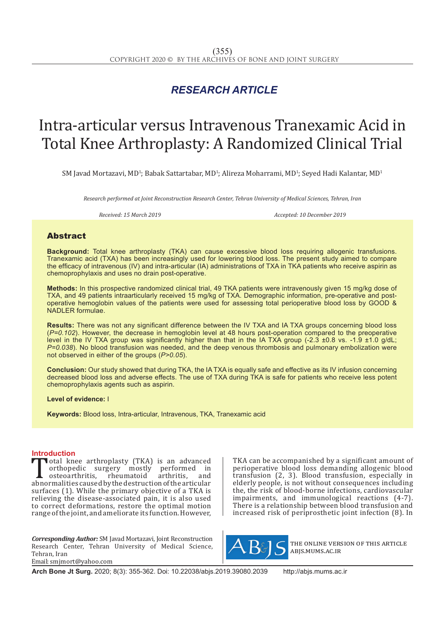## *RESEARCH ARTICLE*

# Intra-articular versus Intravenous Tranexamic Acid in Total Knee Arthroplasty: A Randomized Clinical Trial

 $\text{SM}$  Javad Mortazavi, MD<sup>1</sup>; Babak Sattartabar, MD<sup>1</sup>; Alireza Moharrami, MD<sup>1</sup>; Seyed Hadi Kalantar, MD<sup>1</sup>

*Research performed at Joint Reconstruction Research Center, Tehran University of Medical Sciences, Tehran, Iran*

*Received: 15 March 2019 Accepted: 10 December 2019*

### Abstract

**Background:** Total knee arthroplasty (TKA) can cause excessive blood loss requiring allogenic transfusions. Tranexamic acid (TXA) has been increasingly used for lowering blood loss. The present study aimed to compare the efficacy of intravenous (IV) and intra-articular (IA) administrations of TXA in TKA patients who receive aspirin as chemoprophylaxis and uses no drain post-operative.

**Methods:** In this prospective randomized clinical trial, 49 TKA patients were intravenously given 15 mg/kg dose of TXA, and 49 patients intraarticularly received 15 mg/kg of TXA. Demographic information, pre-operative and postoperative hemoglobin values of the patients were used for assessing total perioperative blood loss by GOOD & NADLER formulae.

**Results:** There was not any significant difference between the IV TXA and IA TXA groups concerning blood loss (*P=0.102*). However, the decrease in hemoglobin level at 48 hours post-operation compared to the preoperative level in the IV TXA group was significantly higher than that in the IA TXA group (-2.3 ±0.8 vs. -1.9 ±1.0 g/dL; *P=0.038*). No blood transfusion was needed, and the deep venous thrombosis and pulmonary embolization were not observed in either of the groups (*P>0.05*).

**Conclusion:** Our study showed that during TKA, the IA TXA is equally safe and effective as its IV infusion concerning decreased blood loss and adverse effects. The use of TXA during TKA is safe for patients who receive less potent chemoprophylaxis agents such as aspirin.

**Level of evidence:** I

**Keywords:** Blood loss, Intra-articular, Intravenous, TKA, Tranexamic acid

**Introduction**<br>**T**otal knee arthroplasty (TKA) is an advanced Total knee arthroplasty (TKA) is an advanced<br>orthopedic surgery mostly performed in<br>osteoarthritis, rheumatoid arthritis, and<br>abnormalities caused by the destruction of the articular<br>surfaces (1) While the primary objectiv orthopedic surgery mostly performed in osteoarthritis, rheumatoid arthritis, and abnormalities caused by the destruction of the articular surfaces (1). While the primary objective of a TKA is relieving the disease-associated pain, it is also used to correct deformations, restore the optimal motion range of the joint, and ameliorate its function. However,

*Corresponding Author:* SM Javad Mortazavi, Joint Reconstruction Research Center, Tehran University of Medical Science, Tehran, Iran Email: smjmort@yahoo.com

TKA can be accompanished by a significant amount of perioperative blood loss demanding allogenic blood transfusion (2, 3). Blood transfusion, especially in elderly people, is not without consequences including the, the risk of blood-borne infections, cardiovascular impairments, and immunological reactions (4-7). There is a relationship between blood transfusion and increased risk of periprosthetic joint infection (8). In



the online version of this article abjs.mums.ac.ir

**Arch Bone Jt Surg.** 2020; 8(3): 355-362. Doi: 10.22038/abjs.2019.39080.2039 http://abjs.mums.ac.ir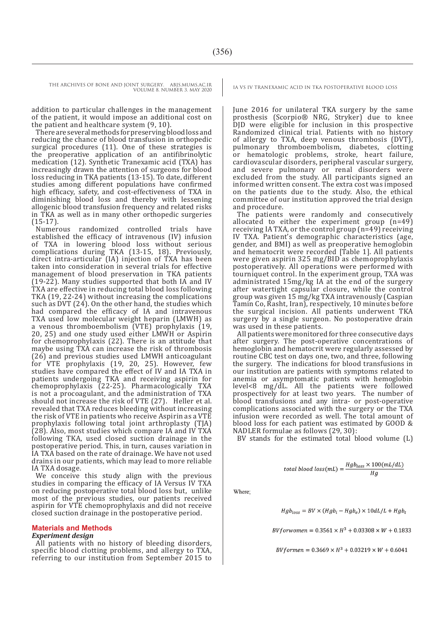addition to particular challenges in the management of the patient, it would impose an additional cost on the patient and healthcare system (9, 10).

There are several methods for preserving blood loss and reducing the chance of blood transfusion in orthopedic surgical procedures (11). One of these strategies is the preoperative application of an antifibrinolytic medication (12). Synthetic Tranexamic acid (TXA) has increasingly drawn the attention of surgeons for blood loss reducing in TKA patients (13-15). To date, different studies among different populations have confirmed high efficacy, safety, and cost-effectiveness of TXA in diminishing blood loss and thereby with lessening allogenic blood transfusion frequency and related risks in TKA as well as in many other orthopedic surgeries (15-17).

Numerous randomized controlled trials have established the efficacy of intravenous (IV) infusion of TXA in lowering blood loss without serious complications during TKA (13-15, 18). Previously, direct intra-articular (IA) injection of TXA has been taken into consideration in several trials for effective management of blood preservation in TKA patients (19-22). Many studies supported that both IA and IV TXA are effective in reducing total blood loss following TKA (19, 22-24) without increasing the complications such as DVT  $(24)$ . On the other hand, the studies which had compared the efficacy of IA and intravenous TXA used low molecular weight heparin (LMWH) as a venous thromboembolism (VTE) prophylaxis (19, 20, 25) and one study used either LMWH or Aspirin for chemoprophylaxis (22). There is an attitude that maybe using TXA can increase the risk of thrombosis (26) and previous studies used LMWH anticoagulant for VTE prophylaxis (19, 20, 25). However, few studies have compared the effect of IV and IA TXA in patients undergoing TKA and receiving aspirin for chemoprophylaxis (22-25). Pharmacologically TXA is not a procoagulant, and the administration of TXA should not increase the risk of VTE (27). Heller et al. revealed that TXA reduces bleeding without increasing the risk of VTE in patients who receive Aspirin as a VTE prophylaxis following total joint arthroplasty (TJA) (28). Also, most studies which compare IA and IV TXA following TKA, used closed suction drainage in the postoperative period. This, in turn, causes variation in IA TXA based on the rate of drainage. We have not used drains in our patients, which may lead to more reliable IA TXA dosage.

We conceive this study align with the previous studies in comparing the efficacy of IA Versus IV TXA on reducing postoperative total blood loss but, unlike most of the previous studies, our patients received aspirin for VTE chemoprophylaxis and did not receive closed suction drainage in the postoperative period.

#### **Materials and Methods**

#### *Experiment design*

All patients with no history of bleeding disorders, specific blood clotting problems, and allergy to TXA, referring to our institution from September 2015 to

June 2016 for unilateral TKA surgery by the same prosthesis (Scorpio® NRG, Stryker) due to knee DJD were eligible for inclusion in this prospective Randomized clinical trial. Patients with no history of allergy to TXA, deep venous thrombosis (DVT), pulmonary thromboembolism, diabetes, clotting or hematologic problems, stroke, heart failure, cardiovascular disorders, peripheral vascular surgery, and severe pulmonary or renal disorders were excluded from the study. All participants signed an informed written consent. The extra cost was imposed on the patients due to the study. Also, the ethical committee of our institution approved the trial design and procedure.

The patients were randomly and consecutively allocated to either the experiment group (n=49) receiving IA TXA, or the control group (n=49) receiving IV TXA. Patient's demographic characteristics (age, gender, and BMI) as well as preoperative hemoglobin and hematocrit were recorded [Table 1]. All patients were given aspirin 325 mg/BID as chemoprophylaxis postoperatively. All operations were performed with tourniquet control. In the experiment group, TXA was administrated 15mg/kg IA at the end of the surgery after watertight capsular closure, while the control group was given 15 mg/kg TXA intravenously (Caspian Tamin Co, Rasht, Iran), respectively, 10 minutes before the surgical incision. All patients underwent TKA surgery by a single surgeon. No postoperative drain was used in these patients.

All patients were monitored for three consecutive days after surgery. The post-operative concentrations of hemoglobin and hematocrit were regularly assessed by routine CBC test on days one, two, and three, following the surgery. The indications for blood transfusions in our institution are patients with symptoms related to anemia or asymptomatic patients with hemoglobin level<8 mg/dL. All the patients were followed prospectively for at least two years. The number of blood transfusions and any intra- or post-operative complications associated with the surgery or the TXA infusion were recorded as well. The total amount of blood loss for each patient was estimated by GOOD & NADLER formulae as follows (29, 30):

BV stands for the estimated total blood volume (L)

total blood loss(mL) = 
$$
\frac{Hgb_{loss} \times 100(mL/dL)}{Hg}
$$

Where:

$$
Hgb_{loss} = BV \times (Hgb_i - Hgb_e) \times 10dL/L + Hgb_t
$$

 $BV for women = 0.3561 \times H^3 + 0.03308 \times W + 0.1833$ 

 $BVformen = 0.3669 \times H^3 + 0.03219 \times W + 0.6041$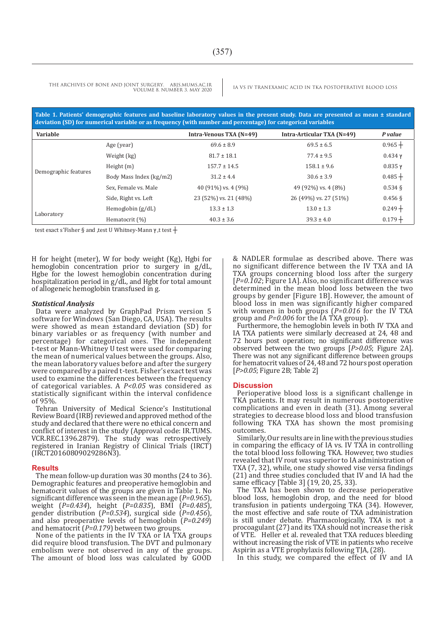**Table 1. Patients' demographic features and baseline laboratory values in the present study. Data are presented as mean ± standard deviation (SD) for numerical variable or as frequency (with number and percentage) for categorical variables**

| Variable             |                         | Intra-Venous TXA (N=49) | <b>Intra-Articular TXA (N=49)</b> | P value   |
|----------------------|-------------------------|-------------------------|-----------------------------------|-----------|
| Demographic features | Age (year)              | $69.6 \pm 8.9$          | $69.5 \pm 6.5$                    | $0.965 +$ |
|                      | Weight (kg)             | $81.7 \pm 18.1$         | $77.4 \pm 9.5$                    | $0.434$ γ |
|                      | Height $(m)$            | $157.7 \pm 14.5$        | $158.1 \pm 9.6$                   | $0.835$ γ |
|                      | Body Mass Index (kg/m2) | $31.2 \pm 4.4$          | $30.6 \pm 3.9$                    | $0.485 +$ |
|                      | Sex, Female vs. Male    | 40 (91%) vs. 4 (9%)     | 49 (92%) vs. 4 (8%)               | $0.534\$  |
|                      | Side, Right vs. Left    | 23 (52%) vs. 21 (48%)   | 26 (49%) vs. 27 (51%)             | $0.456$ § |
| Laboratory           | Hemoglobin $(g/dL)$     | $13.3 \pm 1.3$          | $13.0 \pm 1.3$                    | $0.249 +$ |
|                      | Hematocrit (%)          | $40.3 \pm 3.6$          | $39.3 \pm 4.0$                    | $0.179 +$ |

test exact s'Fisher § and ,test U Whitney-Mann γ, t test +

H for height (meter), W for body weight (Kg), Hgbi for hemoglobin concentration prior to surgery in g/dL. Hgbe for the lowest hemoglobin concentration during hospitalization period in g/dL, and Hgbt for total amount of allogeneic hemoglobin transfused in g.

#### *Statistical Analysis*

Data were analyzed by GraphPad Prism version 5 software for Windows (San Diego, CA, USA). The results were showed as mean ±standard deviation (SD) for binary variables or as frequency (with number and percentage) for categorical ones. The independent t-test or Mann-Whitney U test were used for comparing the mean of numerical values between the groups. Also, the mean laboratory values before and after the surgery were compared by a paired t-test. Fisher's exact test was used to examine the differences between the frequency of categorical variables. A *P<0.05* was considered as statistically significant within the interval confidence of 95%.

Tehran University of Medical Science's Institutional Review Board (IRB) reviewed and approved method of the study and declared that there were no ethical concern and conflict of interest in the study (Approval code: IR.TUMS. VCR.REC.1396.2879). The study was retrospectively registered in Iranian Registry of Clinical Trials (IRCT) (IRCT20160809029286N3).

#### **Results**

The mean follow-up duration was 30 months (24 to 36). Demographic features and preoperative hemoglobin and hematocrit values of the groups are given in Table 1. No significant difference was seen in the mean age (*P=0.965*), weight (*P=0.434*), height (*P=0.835*), BMI (*P=0.485*), gender distribution (*P=0.534*), surgical side (*P=0.456*), and also preoperative levels of hemoglobin (*P=0.249*) and hematocrit (*P=0.179*) between two groups.

None of the patients in the IV TXA or IA TXA groups did require blood transfusion. The DVT and pulmonary embolism were not observed in any of the groups. The amount of blood loss was calculated by GOOD & NADLER formulae as described above. There was no significant difference between the IV TXA and IA TXA groups concerning blood loss after the surgery [ $P=0.102$ ; Figure 1A]. Also, no significant difference was determined in the mean blood loss between the two groups by gender [Figure 1B]. However, the amount of blood loss in men was significantly higher compared with women in both groups (*P=0.016* for the IV TXA group and *P=0.006* for the IA TXA group).

Furthermore, the hemoglobin levels in both IV TXA and IA TXA patients were similarly decreased at 24, 48 and 72 hours post operation; no significant difference was observed between the two groups [*P>0.05*; Figure 2A]. There was not any significant difference between groups for hematocrit values of 24, 48 and 72 hours post operation [*P>0.05*; Figure 2B; Table 2]

#### **Discussion**

Perioperative blood loss is a significant challenge in TKA patients. It may result in numerous postoperative complications and even in death (31). Among several strategies to decrease blood loss and blood transfusion following TKA TXA has shown the most promising outcomes.

Similarly, Our results are in line with the previous studies in comparing the efficacy of IA vs. IV TXA in controlling the total blood loss following TKA. However, two studies revealed that IV rout was superior to IA administration of TXA (7, 32), while, one study showed vise versa findings (21) and three studies concluded that IV and IA had the same efficacy [Table 3] (19, 20, 25, 33).

The TXA has been shown to decrease perioperative blood loss, hemoglobin drop, and the need for blood transfusion in patients undergoing TKA (34). However, the most effective and safe route of TXA administration is still under debate. Pharmacologically, TXA is not a procoagulant (27) and its TXA should not increase the risk of VTE. Heller et al. revealed that TXA reduces bleeding without increasing the risk of VTE in patients who receive Aspirin as a VTE prophylaxis following TJA, (28).

In this study, we compared the effect of IV and IA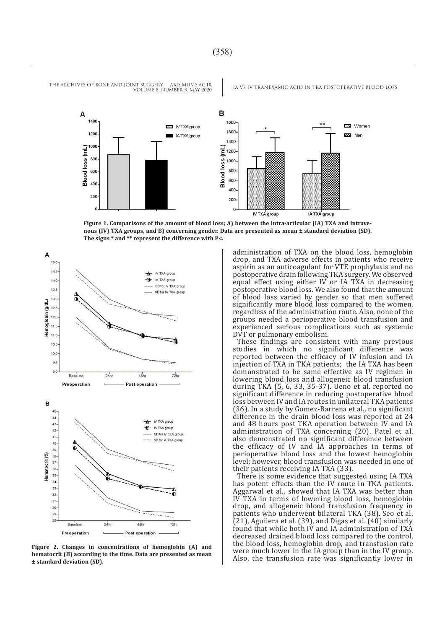





**Figure 2. Changes in concentrations of hemoglobin (A) and hematocrit (B) according to the time. Data are presented as mean ± standard deviation (SD).**

administration of TXA on the blood loss, hemoglobin drop, and TXA adverse effects in patients who receive aspirin as an anticoagulant for VTE prophylaxis and no postoperative drain following TKA surgery. We observed equal effect using either IV or IA TXA in decreasing postoperative blood loss. We also found that the amount of blood loss varied by gender so that men suffered significantly more blood loss compared to the women, regardless of the administration route. Also, none of the groups needed a perioperative blood transfusion and experienced serious complications such as systemic DVT or pulmonary embolism.

These findings are consistent with many previous studies in which no significant difference was reported between the efficacy of IV infusion and IA injection of TXA in TKA patients; the IA TXA has been demonstrated to be same effective as IV regimen in lowering blood loss and allogeneic blood transfusion during TKA (5, 6, 33, 35-37). Ueno et al. reported no significant difference in reducing postoperative blood loss between IV and IA routes in unilateral TKA patients (36). In a study by Gomez-Barrena et al., no significant difference in the drain blood loss was reported at 24 and 48 hours post TKA operation between IV and IA administration of TXA concerning (20). Patel et al. also demonstrated no significant difference between the efficacy of IV and IA approaches in terms of perioperative blood loss and the lowest hemoglobin level; however, blood transfusion was needed in one of their patients receiving IA TXA (33).

There is some evidence that suggested using IA TXA has potent effects than the IV route in TKA patients. Aggarwal et al., showed that IA TXA was better than IV TXA in terms of lowering blood loss, hemoglobin drop, and allogeneic blood transfusion frequency in patients who underwent bilateral TKA (38). Seo et al. (21), Aguilera et al. (39), and Digas et al. (40) similarly found that while both IV and IA administration of TXA decreased drained blood loss compared to the control, the blood loss, hemoglobin drop, and transfusion rate were much lower in the IA group than in the IV group. Also, the transfusion rate was significantly lower in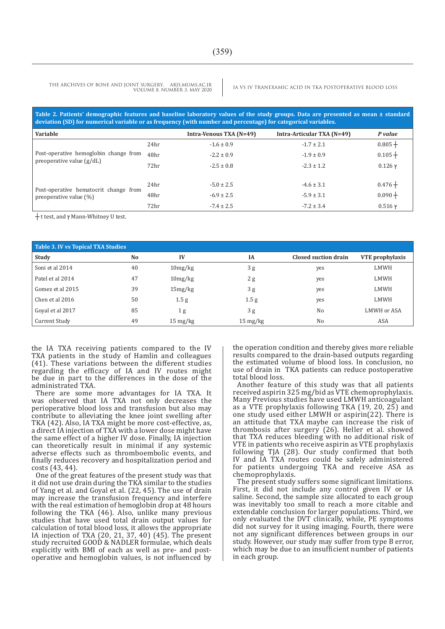**Table 2. Patients' demographic features and baseline laboratory values of the study groups. Data are presented as mean ± standard deviation (SD) for numerical variable or as frequency (with number and percentage) for categorical variables.**

| Variable                              |                  | Intra-Venous TXA (N=49) | Intra-Articular TXA (N=49) | P value   |
|---------------------------------------|------------------|-------------------------|----------------------------|-----------|
|                                       | 24 <sub>hr</sub> | $-1.6 \pm 0.9$          | $-1.7 \pm 2.1$             | $0.805 +$ |
| Post-operative hemoglobin change from | 48hr             | $-2.2 \pm 0.9$          | $-1.9 \pm 0.9$             | $0.105 +$ |
| preoperative value $(g/dL)$           | 72hr             | $-2.5 \pm 0.8$          | $-2.3 \pm 1.2$             | $0.126$ γ |
|                                       |                  |                         |                            |           |
| Post-operative hematocrit change from | 24hr             | $-5.0 \pm 2.5$          | $-4.6 \pm 3.1$             | $0.476 +$ |
| preoperative value $(\%)$             | 48hr             | $-6.9 \pm 2.5$          | $-5.9 \pm 3.1$             | $0.090 +$ |
|                                       | 72 <sub>hr</sub> | $-7.4 \pm 2.5$          | $-7.2 \pm 3.4$             | $0.516$ γ |

┼ t test, and ץ Mann-Whitney U test.

| Table 3. IV vs Topical TXA Studies |                |                       |                    |                      |                 |  |  |  |
|------------------------------------|----------------|-----------------------|--------------------|----------------------|-----------------|--|--|--|
| Study                              | N <sub>o</sub> | IV                    | <b>IA</b>          | Closed suction drain | VTE prophylaxis |  |  |  |
| Soni et al 2014                    | 40             | 10mg/kg               | 3g                 | yes                  | LMWH            |  |  |  |
| Patel et al 2014                   | 47             | 10mg/kg               | 2g                 | yes                  | LMWH            |  |  |  |
| Gomez et al 2015                   | 39             | 15mg/kg               | 3g                 | yes                  | LMWH            |  |  |  |
| Chen et al 2016                    | 50             | 1.5 <sub>g</sub>      | 1.5 <sub>g</sub>   | yes                  | LMWH            |  |  |  |
| Goyal et al 2017                   | 85             | 1 <sub>g</sub>        | 3g                 | N <sub>0</sub>       | LMWH or ASA     |  |  |  |
| Current Study                      | 49             | $15 \,\mathrm{mg/kg}$ | $15 \text{ mg/kg}$ | No                   | ASA             |  |  |  |

the IA TXA receiving patients compared to the IV TXA patients in the study of Hamlin and colleagues (41). These variations between the different studies regarding the efficacy of IA and IV routes might be due in part to the differences in the dose of the administrated TXA.

There are some more advantages for IA TXA. It was observed that IA TXA not only decreases the perioperative blood loss and transfusion but also may contribute to alleviating the knee joint swelling after TKA (42). Also, IA TXA might be more cost-effective, as, a direct IA injection of TXA with a lower dose might have the same effect of a higher IV dose. Finally, IA injection can theoretically result in minimal if any systemic adverse effects such as thromboembolic events, and finally reduces recovery and hospitalization period and costs (43, 44).

One of the great features of the present study was that it did not use drain during the TKA similar to the studies of Yang et al. and Goyal et al. (22, 45). The use of drain may increase the transfusion frequency and interfere with the real estimation of hemoglobin drop at 48 hours following the TKA (46). Also, unlike many previous studies that have used total drain output values for calculation of total blood loss, it allows the appropriate IA injection of TXA (20, 21, 37, 40) (45). The present study recruited GOOD & NADLER formulae, which deals explicitly with BMI of each as well as pre- and postoperative and hemoglobin values, is not influenced by

the operation condition and thereby gives more reliable results compared to the drain-based outputs regarding the estimated volume of blood loss. In conclusion, no use of drain in TKA patients can reduce postoperative total blood loss.

Another feature of this study was that all patients received aspirin 325 mg/bid as VTE chemoprophylaxis. Many Previous studies have used LMWH anticoagulant as a VTE prophylaxis following TKA (19, 20, 25) and one study used either LMWH or aspirin(22). There is an attitude that TXA maybe can increase the risk of thrombosis after surgery (26). Heller et al. showed that TXA reduces bleeding with no additional risk of VTE in patients who receive aspirin as VTE prophylaxis following TJA (28). Our study confirmed that both IV and IA TXA routes could be safely administered for patients undergoing TKA and receive ASA as chemoprophylaxis.

The present study suffers some significant limitations. First, it did not include any control given IV or IA saline. Second, the sample size allocated to each group was inevitably too small to reach a more citable and extendable conclusion for larger populations. Third, we only evaluated the DVT clinically, while, PE symptoms did not survey for it using imaging. Fourth, there were not any significant differences between groups in our study. However, our study may suffer from type B error, which may be due to an insufficient number of patients in each group.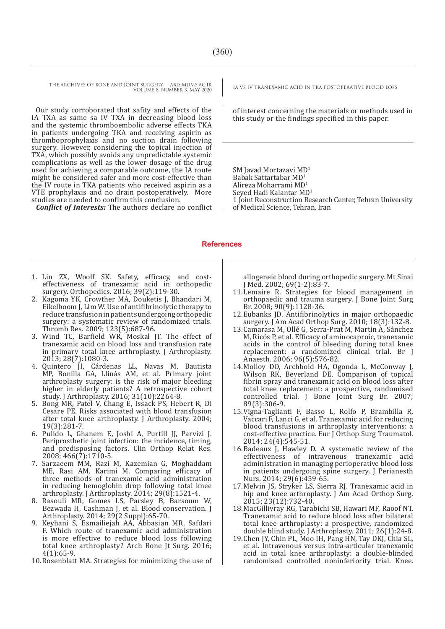Our study corroborated that safity and effects of the IA TXA as same sa IV TXA in decreasing blood loss and the systemic thromboembolic adverse effects TKA in patients undergoing TKA and receiving aspirin as thromboprophylaxis and no suction drain following surgery. However, considering the topical injection of TXA, which possibly avoids any unpredictable systemic complications as well as the lower dosage of the drug used for achieving a comparable outcome, the IA route might be considered safer and more cost-effective than the IV route in TKA patients who received aspirin as a VTE prophylaxis and no drain postoperatively. More studies are needed to confirm this conclusion.

*Conflict of Interests:* The authors declare no conflict

of interest concerning the materials or methods used in this study or the findings specified in this paper.

SM Javad Mortazavi MD1 Babak Sattartabar MD<sup>1</sup>

Alireza Moharrami MD<sup>1</sup>

Seyed Hadi Kalantar MD<sup>1</sup>

1 Joint Reconstruction Research Center, Tehran University of Medical Science, Tehran, Iran

#### **References**

- 1. Lin ZX, Woolf SK. Safety, efficacy, and costeffectiveness of tranexamic acid in orthopedic surgery. Orthopedics. 2016; 39(2):119-30.
- 2. Kagoma YK, Crowther MA, Douketis J, Bhandari M, Eikelboom J, Lim W. Use of antifibrinolytic therapy to reduce transfusion in patients undergoing orthopedic surgery: a systematic review of randomized trials. Thromb Res. 2009; 123(5):687-96.
- 3. Wind TC, Barfield WR, Moskal JT. The effect of tranexamic acid on blood loss and transfusion rate in primary total knee arthroplasty. J Arthroplasty. 2013; 28(7):1080-3.
- 4. Quintero JI, Cárdenas LL, Navas M, Bautista MP, Bonilla GA, Llinás AM, et al. Primary joint arthroplasty surgery: is the risk of major bleeding higher in elderly patients? A retrospective cohort study. J Arthroplasty. 2016; 31(10):2264-8.
- 5. Bong MR, Patel V, Chang E, Issack PS, Hebert R, Di Cesare PE. Risks associated with blood transfusion after total knee arthroplasty. J Arthroplasty. 2004; 19(3):281-7.
- 6. Pulido L, Ghanem E, Joshi A, Purtill JJ, Parvizi J. Periprosthetic joint infection: the incidence, timing, and predisposing factors. Clin Orthop Relat Res. 2008; 466(7):1710-5.
- 7. Sarzaeem MM, Razi M, Kazemian G, Moghaddam ME, Rasi AM, Karimi M. Comparing efficacy of three methods of tranexamic acid administration in reducing hemoglobin drop following total knee arthroplasty. J Arthroplasty. 2014; 29(8):1521-4.
- 8. Rasouli MR, Gomes LS, Parsley B, Barsoum W, Bezwada H, Cashman J, et al. Blood conservation. J Arthroplasty. 2014; 29(2 Suppl):65-70.
- 9. Keyhani S, Esmailiejah AA, Abbasian MR, Safdari F. Which route of tranexamic acid administration is more effective to reduce blood loss following total knee arthroplasty? Arch Bone Jt Surg. 2016; 4(1):65-9.
- 10.Rosenblatt MA. Strategies for minimizing the use of

allogeneic blood during orthopedic surgery. Mt Sinai J Med. 2002; 69(1-2):83-7.

- 11.Lemaire R. Strategies for blood management in orthopaedic and trauma surgery. J Bone Joint Surg Br. 2008; 90(9):1128-36.
- 12.Eubanks JD. Antifibrinolytics in major orthopaedic surgery. J Am Acad Orthop Surg. 2010; 18(3):132-8.
- 13. Camarasa M, Ollé G, Serra-Prat M, Martín A, Sánchez M, Ricós P, et al. Efficacy of aminocaproic, tranexamic acids in the control of bleeding during total knee replacement: a randomized clinical trial. Br J Anaesth. 2006; 96(5):576-82.
- 14.Molloy DO, Archbold HA, Ogonda L, McConway J, Wilson RK, Beverland DE. Comparison of topical fibrin spray and tranexamic acid on blood loss after total knee replacement: a prospective, randomised controlled trial. J Bone Joint Surg Br. 2007; 89(3):306-9.
- 15.Vigna-Taglianti F, Basso L, Rolfo P, Brambilla R, Vaccari F, Lanci G, et al. Tranexamic acid for reducing blood transfusions in arthroplasty interventions: a cost-effective practice. Eur J Orthop Surg Traumatol. 2014; 24(4):545-51.
- 16.Badeaux J, Hawley D. A systematic review of the effectiveness of intravenous tranexamic acid administration in managing perioperative blood loss in patients undergoing spine surgery. J Perianesth Nurs. 2014; 29(6):459-65.
- 17.Melvin JS, Stryker LS, Sierra RJ. Tranexamic acid in hip and knee arthroplasty. J Am Acad Orthop Surg. 2015; 23(12):732-40.
- 18.MacGillivray RG, Tarabichi SB, Hawari MF, Raoof NT. Tranexamic acid to reduce blood loss after bilateral total knee arthroplasty: a prospective, randomized double blind study. J Arthroplasty. 2011; 26(1):24-8.
- 19.Chen JY, Chin PL, Moo IH, Pang HN, Tay DKJ, Chia SL, et al. Intravenous versus intra-articular tranexamic acid in total knee arthroplasty: a double-blinded randomised controlled noninferiority trial. Knee.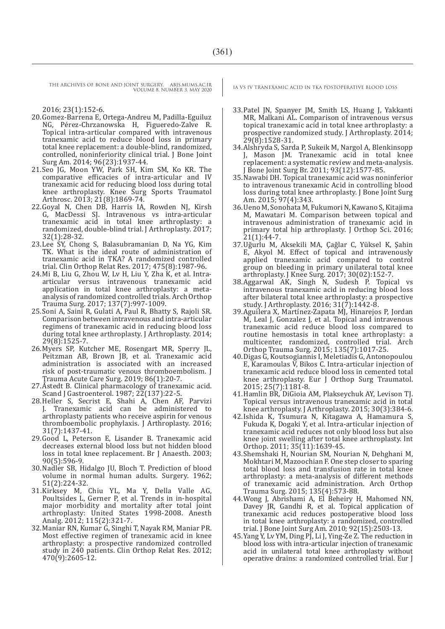2016; 23(1):152-6.

- 20.Gomez-Barrena E, Ortega-Andreu M, Padilla-Eguiluz NG, Pérez-Chrzanowska H, Figueredo-Zalve R. Topical intra-articular compared with intravenous tranexamic acid to reduce blood loss in primary total knee replacement: a double-blind, randomized, controlled, noninferiority clinical trial. J Bone Joint Surg Am. 2014; 96(23):1937-44.
- 21.Seo JG, Moon YW, Park SH, Kim SM, Ko KR. The comparative efficacies of intra-articular and IV tranexamic acid for reducing blood loss during total knee arthroplasty. Knee Surg Sports Traumatol Arthrosc. 2013; 21(8):1869-74.
- 22.Goyal N, Chen DB, Harris IA, Rowden NJ, Kirsh G, MacDessi SJ. Intravenous vs intra-articular tranexamic acid in total knee arthroplasty: a randomized, double-blind trial. J Arthroplasty. 2017; 32(1):28-32.
- 23.Lee SY, Chong S, Balasubramanian D, Na YG, Kim TK. What is the ideal route of administration of tranexamic acid in TKA? A randomized controlled trial. Clin Orthop Relat Res. 2017; 475(8):1987-96.
- 24.Mi B, Liu G, Zhou W, Lv H, Liu Y, Zha K, et al. Intraarticular versus intravenous tranexamic acid application in total knee arthroplasty: a metaanalysis of randomized controlled trials. Arch Orthop Trauma Surg. 2017; 137(7):997-1009.
- 25.Soni A, Saini R, Gulati A, Paul R, Bhatty S, Rajoli SR. Comparison between intravenous and intra-articular regimens of tranexamic acid in reducing blood loss during total knee arthroplasty. J Arthroplasty. 2014; 29(8):1525-7.
- 26.Myers SP, Kutcher ME, Rosengart MR, Sperry JL, Peitzman AB, Brown JB, et al. Tranexamic acid administration is associated with an increased risk of post-traumatic venous thromboembolism. J Trauma Acute Care Surg. 2019; 86(1):20-7.
- 27.Åstedt B. Clinical pharmacology of tranexamic acid. Scand J Gastroenterol. 1987; 22(137):22-5.
- 28. Heller S, Secrist E, Shahi A, Chen AF, Parvizi I. Tranexamic acid can be administered to Tranexamic acid can be administered to arthroplasty patients who receive aspirin for venous thromboembolic prophylaxis. J Arthroplasty. 2016; 31(7):1437-41.
- 29.Good L, Peterson E, Lisander B. Tranexamic acid decreases external blood loss but not hidden blood loss in total knee replacement. Br J Anaesth. 2003; 90(5):596-9.
- 30.Nadler SB, Hidalgo JU, Bloch T. Prediction of blood volume in normal human adults. Surgery. 1962; 51(2):224-32.
- 31.Kirksey M, Chiu YL, Ma Y, Della Valle AG, Poultsides L, Gerner P, et al. Trends in in-hospital major morbidity and mortality after total joint arthroplasty: United States 1998-2008. Anesth Analg. 2012; 115(2):321-7.
- 32.Maniar RN, Kumar G, Singhi T, Nayak RM, Maniar PR. Most effective regimen of tranexamic acid in knee arthroplasty: a prospective randomized controlled study in 240 patients. Clin Orthop Relat Res. 2012;  $470(9):2605-12.$

- 33.Patel JN, Spanyer JM, Smith LS, Huang J, Yakkanti MR, Malkani AL. Comparison of intravenous versus topical tranexamic acid in total knee arthroplasty: a prospective randomized study. J Arthroplasty. 2014; 29(8):1528-31.
- 34.Alshryda S, Sarda P, Sukeik M, Nargol A, Blenkinsopp J, Mason JM. Tranexamic acid in total knee replacement: a systematic review and meta-analysis. J Bone Joint Surg Br. 2011; 93(12):1577-85.
- 35.Nawabi DH. Topical tranexamic acid was noninferior to intravenous tranexamic Acid in controlling blood loss during total knee arthroplasty. J Bone Joint Surg Am. 2015; 97(4):343.
- 36.Ueno M, Sonohata M, Fukumori N, Kawano S, Kitajima M, Mawatari M. Comparison between topical and intravenous administration of tranexamic acid in primary total hip arthroplasty. J Orthop Sci. 2016; 21(1):44-7.
- 37.Uğurlu M, Aksekili MA, Çağlar C, Yüksel K, Şahin E, Akyol M. Effect of topical and intravenously applied tranexamic acid compared to control group on bleeding in primary unilateral total knee arthroplasty. J Knee Surg. 2017; 30(02):152-7.
- 38.Aggarwal AK, Singh N, Sudesh P. Topical vs intravenous tranexamic acid in reducing blood loss after bilateral total knee arthroplasty: a prospective study. J Arthroplasty. 2016; 31(7):1442-8.
- 39. Aguilera X, Martínez-Zapata MJ, Hinarejos P, Jordan M, Leal J, Gonzalez J, et al. Topical and intravenous tranexamic acid reduce blood loss compared to routine hemostasis in total knee arthroplasty: a multicenter, randomized, controlled trial. Arch Orthop Trauma Surg. 2015; 135(7):1017-25.
- 40.Digas G, Koutsogiannis I, Meletiadis G, Antonopoulou E, Karamoulas V, Bikos C. Intra-articular injection of tranexamic acid reduce blood loss in cemented total knee arthroplasty. Eur J Orthop Surg Traumatol. 2015; 25(7):1181-8.
- 41.Hamlin BR, DiGioia AM, Plakseychuk AY, Levison TJ. Topical versus intravenous tranexamic acid in total knee arthroplasty. J Arthroplasty. 2015; 30(3):384-6.
- 42.Ishida K, Tsumura N, Kitagawa A, Hamamura S, Fukuda K, Dogaki Y, et al. Intra-articular injection of tranexamic acid reduces not only blood loss but also knee joint swelling after total knee arthroplasty. Int Orthop. 2011; 35(11):1639-45.
- 43.Shemshaki H, Nourian SM, Nourian N, Dehghani M, Mokhtari M, Mazoochian F. One step closer to sparing total blood loss and transfusion rate in total knee arthroplasty: a meta-analysis of different methods of tranexamic acid administration. Arch Orthop Trauma Surg. 2015; 135(4):573-88.
- 44.Wong J, Abrishami A, El Beheiry H, Mahomed NN, Davey JR, Gandhi R, et al. Topical application of tranexamic acid reduces postoperative blood loss in total knee arthroplasty: a randomized, controlled trial. J Bone Joint Surg Am. 2010; 92(15):2503-13.
- 45.Yang Y, Lv YM, Ding PJ, Li J, Ying-Ze Z. The reduction in blood loss with intra-articular injection of tranexamic acid in unilateral total knee arthroplasty without operative drains: a randomized controlled trial. Eur J